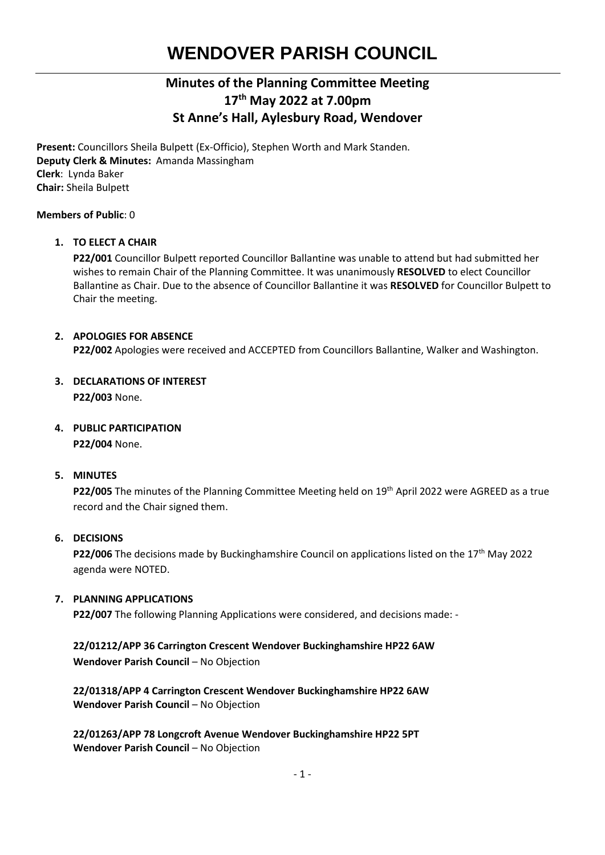# **WENDOVER PARISH COUNCIL**

## **Minutes of the Planning Committee Meeting 17 th May 2022 at 7.00pm St Anne's Hall, Aylesbury Road, Wendover**

**Present:** Councillors Sheila Bulpett (Ex-Officio), Stephen Worth and Mark Standen. **Deputy Clerk & Minutes:** Amanda Massingham **Clerk**: Lynda Baker **Chair:** Sheila Bulpett

#### **Members of Public**: 0

#### **1. TO ELECT A CHAIR**

**P22/001** Councillor Bulpett reported Councillor Ballantine was unable to attend but had submitted her wishes to remain Chair of the Planning Committee. It was unanimously **RESOLVED** to elect Councillor Ballantine as Chair. Due to the absence of Councillor Ballantine it was **RESOLVED** for Councillor Bulpett to Chair the meeting.

### **2. APOLOGIES FOR ABSENCE**

**P22/002** Apologies were received and ACCEPTED from Councillors Ballantine, Walker and Washington.

#### **3. DECLARATIONS OF INTEREST P22/003** None.

#### **4. PUBLIC PARTICIPATION**

**P22/004** None.

#### **5. MINUTES**

**P22/005** The minutes of the Planning Committee Meeting held on 19<sup>th</sup> April 2022 were AGREED as a true record and the Chair signed them.

#### **6. DECISIONS**

**P22/006** The decisions made by Buckinghamshire Council on applications listed on the 17<sup>th</sup> May 2022 agenda were NOTED.

#### **7. PLANNING APPLICATIONS**

**P22/007** The following Planning Applications were considered, and decisions made: -

### **22/01212/APP 36 Carrington Crescent Wendover Buckinghamshire HP22 6AW Wendover Parish Council - No Objection**

**22/01318/APP 4 Carrington Crescent Wendover Buckinghamshire HP22 6AW Wendover Parish Council - No Objection** 

**22/01263/APP 78 Longcroft Avenue Wendover Buckinghamshire HP22 5PT Wendover Parish Council - No Objection**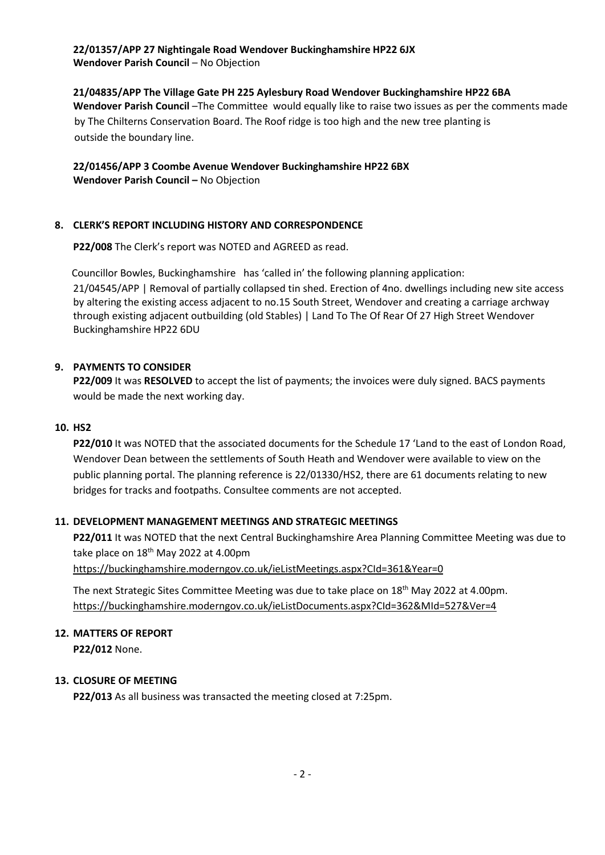# **22/01357/APP 27 Nightingale Road Wendover Buckinghamshire HP22 6JX**

**Wendover Parish Council - No Objection** 

**21/04835/APP The Village Gate PH 225 Aylesbury Road Wendover Buckinghamshire HP22 6BA Wendover Parish Council** –The Committee would equally like to raise two issues as per the comments made by The Chilterns Conservation Board. The Roof ridge is too high and the new tree planting is outside the boundary line.

**22/01456/APP 3 Coombe Avenue Wendover Buckinghamshire HP22 6BX Wendover Parish Council - No Objection** 

#### **8. CLERK'S REPORT INCLUDING HISTORY AND CORRESPONDENCE**

**P22/008** The Clerk's report was NOTED and AGREED as read.

Councillor Bowles, Buckinghamshire has 'called in' the following planning application:

21/04545/APP | Removal of partially collapsed tin shed. Erection of 4no. dwellings including new site access by altering the existing access adjacent to no.15 South Street, Wendover and creating a carriage archway through existing adjacent outbuilding (old Stables) | Land To The Of Rear Of 27 High Street Wendover Buckinghamshire HP22 6DU

#### **9. PAYMENTS TO CONSIDER**

**P22/009** It was **RESOLVED** to accept the list of payments; the invoices were duly signed. BACS payments would be made the next working day.

#### **10. HS2**

**P22/010** It was NOTED that the associated documents for the Schedule 17 'Land to the east of London Road, Wendover Dean between the settlements of South Heath and Wendover were available to view on the public planning portal. The planning reference is 22/01330/HS2, there are 61 documents relating to new bridges for tracks and footpaths. Consultee comments are not accepted.

#### **11. DEVELOPMENT MANAGEMENT MEETINGS AND STRATEGIC MEETINGS**

**P22/011** It was NOTED that the next Central Buckinghamshire Area Planning Committee Meeting was due to take place on  $18<sup>th</sup>$  May 2022 at 4.00pm

<https://buckinghamshire.moderngov.co.uk/ieListMeetings.aspx?CId=361&Year=0>

The next Strategic Sites Committee Meeting was due to take place on 18th May 2022 at 4.00pm. <https://buckinghamshire.moderngov.co.uk/ieListDocuments.aspx?CId=362&MId=527&Ver=4>

#### **12. MATTERS OF REPORT**

**P22/012** None.

#### **13. CLOSURE OF MEETING**

**P22/013** As all business was transacted the meeting closed at 7:25pm.